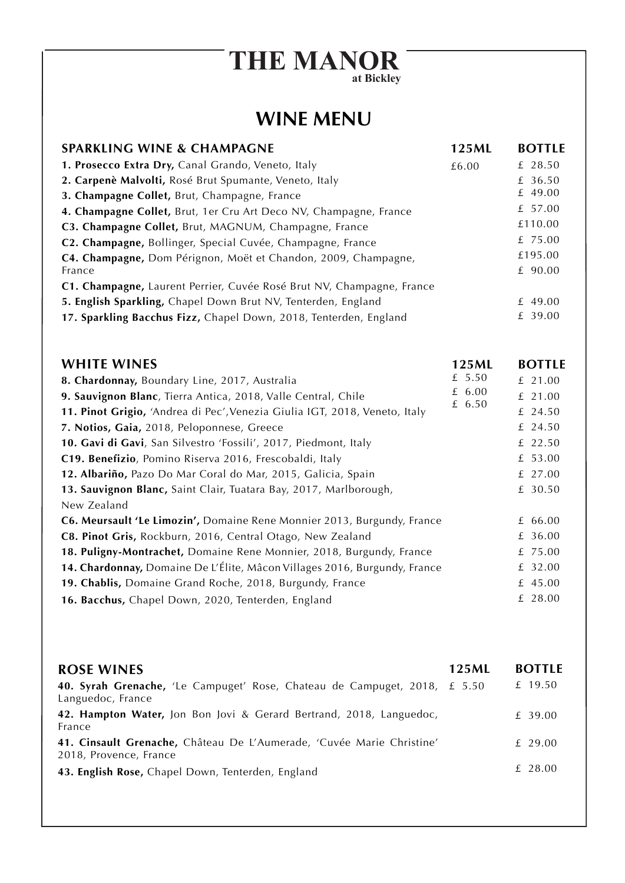## **THE MANOR at Bickley**

## **WINE MENU**

| <b>SPARKLING WINE &amp; CHAMPAGNE</b>                                      | 125ML    | <b>BOTTLE</b> |
|----------------------------------------------------------------------------|----------|---------------|
| 1. Prosecco Extra Dry, Canal Grando, Veneto, Italy                         | £6.00    | £ 28.50       |
| 2. Carpenè Malvolti, Rosé Brut Spumante, Veneto, Italy                     |          | £ 36.50       |
| 3. Champagne Collet, Brut, Champagne, France                               |          | £ 49.00       |
| 4. Champagne Collet, Brut, 1er Cru Art Deco NV, Champagne, France          |          | £ 57.00       |
| C3. Champagne Collet, Brut, MAGNUM, Champagne, France                      |          | £110.00       |
| C2. Champagne, Bollinger, Special Cuvée, Champagne, France                 |          | £ 75.00       |
| C4. Champagne, Dom Pérignon, Moët et Chandon, 2009, Champagne,             |          | £195.00       |
| France                                                                     |          | £ 90.00       |
| C1. Champagne, Laurent Perrier, Cuvée Rosé Brut NV, Champagne, France      |          |               |
| 5. English Sparkling, Chapel Down Brut NV, Tenterden, England              |          | £ 49.00       |
| 17. Sparkling Bacchus Fizz, Chapel Down, 2018, Tenterden, England          |          | £ 39.00       |
| <b>WHITE WINES</b>                                                         | 125ML    | <b>BOTTLE</b> |
| 8. Chardonnay, Boundary Line, 2017, Australia                              | £ 5.50   | £ 21.00       |
| 9. Sauvignon Blanc, Tierra Antica, 2018, Valle Central, Chile              | £ $6.00$ | £ 21.00       |
| 11. Pinot Grigio, 'Andrea di Pec', Venezia Giulia IGT, 2018, Veneto, Italy | £ 6.50   | £ 24.50       |
| 7. Notios, Gaia, 2018, Peloponnese, Greece                                 |          | £ 24.50       |
| 10. Gavi di Gavi, San Silvestro 'Fossili', 2017, Piedmont, Italy           |          | £ 22.50       |
| C19. Benefizio, Pomino Riserva 2016, Frescobaldi, Italy                    |          | £ 53.00       |
| 12. Albariño, Pazo Do Mar Coral do Mar, 2015, Galicia, Spain               |          | £ 27.00       |
| 13. Sauvignon Blanc, Saint Clair, Tuatara Bay, 2017, Marlborough,          |          | £ 30.50       |
| New Zealand                                                                |          |               |
| C6. Meursault 'Le Limozin', Domaine Rene Monnier 2013, Burgundy, France    |          | £ 66.00       |
| C8. Pinot Gris, Rockburn, 2016, Central Otago, New Zealand                 |          | £ 36.00       |
| 18. Puligny-Montrachet, Domaine Rene Monnier, 2018, Burgundy, France       |          | £ 75.00       |
| 14. Chardonnay, Domaine De L'Élite, Mâcon Villages 2016, Burgundy, France  |          | £ 32.00       |
| 19. Chablis, Domaine Grand Roche, 2018, Burgundy, France                   |          | £ 45.00       |
| 16. Bacchus, Chapel Down, 2020, Tenterden, England                         |          | £ 28.00       |
|                                                                            |          |               |
|                                                                            |          |               |

| <b>ROSE WINES</b>                                                                               | 125ML | <b>BOTTLE</b> |
|-------------------------------------------------------------------------------------------------|-------|---------------|
| 40. Syrah Grenache, 'Le Campuget' Rose, Chateau de Campuget, 2018, £ 5.50<br>Languedoc, France  |       | £ 19.50       |
| 42. Hampton Water, Jon Bon Jovi & Gerard Bertrand, 2018, Languedoc,<br>France                   |       | £ 39.00       |
| 41. Cinsault Grenache, Château De L'Aumerade, 'Cuvée Marie Christine'<br>2018, Provence, France |       | £ 29.00       |
| 43. English Rose, Chapel Down, Tenterden, England                                               |       | £ 28.00       |